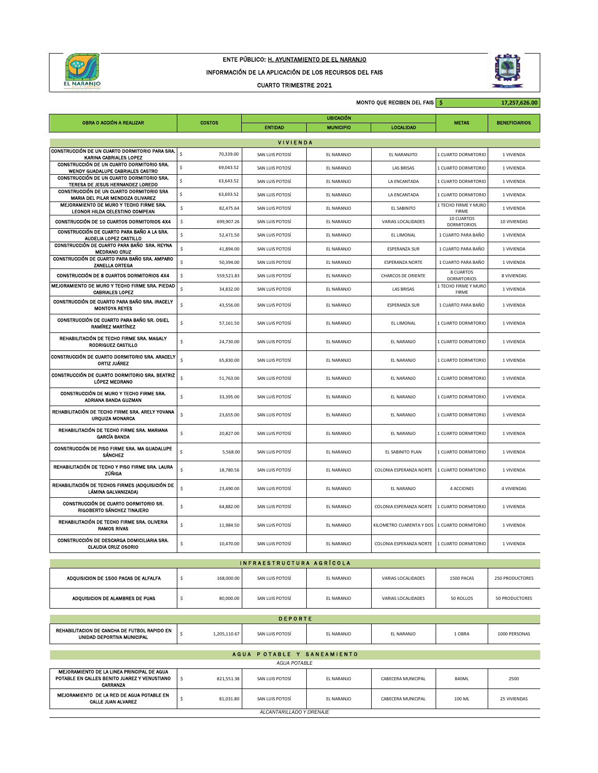

## ENTE PÚBLICO: H. AYUNTAMIENTO DE EL NARANJO

INFORMACIÓN DE LA APLICACIÓN DE LOS RECURSOS DEL FAIS

CUARTO TRIMESTRE 2021



|                                                                                                                  |                                 | MONTO QUE RECIBEN DEL FAIS \$<br>17,257,626.00    |                  |                                               |                                  |                      |  |  |  |
|------------------------------------------------------------------------------------------------------------------|---------------------------------|---------------------------------------------------|------------------|-----------------------------------------------|----------------------------------|----------------------|--|--|--|
| OBRA O ACCIÓN A REALIZAR                                                                                         | <b>COSTOS</b>                   |                                                   | <b>UBICACIÓN</b> |                                               | <b>METAS</b>                     | <b>BENEFICIARIOS</b> |  |  |  |
| <b>ENTIDAD</b><br><b>LOCALIDAD</b><br><b>MUNICIPIO</b>                                                           |                                 |                                                   |                  |                                               |                                  |                      |  |  |  |
| CONSTRUCCIÓN DE UN CUARTO DORMITORIO PARA SRA.                                                                   | Ś<br>70,339.00                  | <b>VIVIENDA</b><br>SAN LUIS POTOSÍ                | EL NARANJO       | EL NARANJITO                                  | 1 CUARTO DORMITORIO              | 1 VIVIENDA           |  |  |  |
| KARINA CABRIALES LOPEZ<br>CONSTRUCCIÓN DE UN CUARTO DORMITORIO SRA.                                              | \$<br>69,043.52                 | SAN LUIS POTOSÍ                                   | EL NARANJO       | <b>LAS BRISAS</b>                             | 1 CUARTO DORMITORIO              | 1 VIVIENDA           |  |  |  |
| WENDY GUADALUPE CABRIALES CASTRO<br>CONSTRUCCIÓN DE UN CUARTO DORMITORIO SRA.                                    | \$<br>63,643.52                 | SAN LUIS POTOSÍ                                   | EL NARANJO       | LA ENCANTADA                                  | 1 CUARTO DORMITORIO              | 1 VIVIENDA           |  |  |  |
| TERESA DE JESUS HERNANDEZ LOREDO<br>CONSTRUCCIÓN DE UN CUARTO DORMITORIO SRA<br>MARIA DEL PILAR MENDOZA OLIVAREZ | \$<br>63,693.52                 | SAN LUIS POTOSÍ                                   | EL NARANJO       | LA ENCANTADA                                  | 1 CUARTO DORMITORIO              | 1 VIVIENDA           |  |  |  |
| MEJORAMIENTO DE MURO Y TECHO FIRME SRA.<br>LEONOR HILDA CELESTINO COMPEAN                                        | \$<br>82,475.64                 | SAN LUIS POTOSÍ                                   | EL NARANJO       | EL SABINITO                                   | 1 TECHO FIRME Y MURO<br>FIRME    | 1 VIVIENDA           |  |  |  |
| CONSTRUCCIÓN DE 10 CUARTOS DORMITORIOS 4X4                                                                       | \$<br>699,907.26                | SAN LUIS POTOSÍ                                   | EL NARANJO       | VARIAS LOCALIDADES                            | 10 CUARTOS<br><b>DORMITORIOS</b> | 10 VIVIENDAS         |  |  |  |
| CONSTRUCCIÓN DE CUARTO PARA BAÑO A LA SRA.<br>AUDELIA LOPEZ CASTILLO                                             | \$<br>52,471.50                 | SAN LUIS POTOSÍ                                   | EL NARANJO       | EL LIMONAL                                    | 1 CUARTO PARA BAÑO               | 1 VIVIENDA           |  |  |  |
| CONSTRUCCIÓN DE CUARTO PARA BAÑO SRA. REYNA<br><b>MEDRANO CRUZ</b>                                               | \$<br>41,894.00                 | SAN LUIS POTOSÍ                                   | EL NARANJO       | <b>ESPERANZA SUR</b>                          | 1 CUARTO PARA BAÑO               | 1 VIVIENDA           |  |  |  |
| CONSTRUCCIÓN DE CUARTO PARA BAÑO SRA. AMPARO<br>ZANELLA ORTEGA                                                   | \$<br>50,394.00                 | SAN LUIS POTOSÍ                                   | EL NARANJO       | <b>ESPERANZA NORTE</b>                        | 1 CUARTO PARA BAÑO               | 1 VIVIENDA           |  |  |  |
| CONSTRUCCIÓN DE 8 CUARTOS DORMITORIOS 4X4                                                                        | \$<br>559,521.83                | SAN LUIS POTOSÍ                                   | EL NARANJO       | <b>CHARCOS DE ORIENTE</b>                     | 8 CUARTOS<br><b>DORMITORIOS</b>  | 8 VIVIENDAS          |  |  |  |
| MEJORAMIENTO DE MURO Y TECHO FIRME SRA. PIEDAD<br><b>CABRIALES LOPEZ</b>                                         | $\sf s$<br>34,832.00            | SAN LUIS POTOSÍ                                   | EL NARANJO       | <b>LAS BRISAS</b>                             | 1 TECHO FIRME Y MURO<br>FIRME    | 1 VIVIENDA           |  |  |  |
| CONSTRUCCIÓN DE CUARTO PARA BAÑO SRA, IRACELY<br><b>MONTOYA REYES</b>                                            | \$<br>43,556.00                 | SAN LUIS POTOSÍ                                   | EL NARANJO       | <b>ESPERANZA SUR</b>                          | 1 CUARTO PARA BAÑO               | 1 VIVIENDA           |  |  |  |
| CONSTRUCCIÓN DE CUARTO PARA BAÑO SR. OSIEL<br>RAMÍREZ MARTÍNEZ                                                   | \$<br>57,161.50                 | SAN LUIS POTOSÍ                                   | EL NARANJO       | EL LIMONAL                                    | 1 CUARTO DORMITORIO              | 1 VIVIENDA           |  |  |  |
| REHABILITACIÓN DE TECHO FIRME SRA, MAGALY<br>RODRIGUEZ CASTILLO                                                  | \$<br>24,730.00                 | SAN LUIS POTOSÍ                                   | EL NARANJO       | EL NARANJO                                    | 1 CUARTO DORMITORIO              | 1 VIVIENDA           |  |  |  |
| CONSTRUCCIÓN DE CUARTO DORMITORIO SRA. ARACELY<br>ORTIZ JUÁREZ                                                   | $\hat{\mathsf{s}}$<br>65,830.00 | SAN LUIS POTOSÍ                                   | EL NARANJO       | EL NARANJO                                    | 1 CUARTO DORMITORIO              | 1 VIVIENDA           |  |  |  |
| CONSTRUCCIÓN DE CUARTO DORMITORIO SRA. BEATRIZ<br><b>LÓPEZ MEDRANO</b>                                           | \$<br>51,763.00                 | SAN LUIS POTOSÍ                                   | EL NARANJO       | EL NARANJO                                    | 1 CUARTO DORMITORIO              | 1 VIVIENDA           |  |  |  |
| CONSTRUCCIÓN DE MURO Y TECHO FIRME SRA.<br>ADRIANA BANDA GUZMAN                                                  | \$<br>33,395.00                 | SAN LUIS POTOSÍ                                   | EL NARANJO       | EL NARANJO                                    | 1 CUARTO DORMITORIO              | 1 VIVIENDA           |  |  |  |
| REHABILITACIÓN DE TECHO FIRME SRA. ARELY YOVANA<br>URQUIZA MONARCA                                               | \$<br>23,655.00                 | SAN LUIS POTOSÍ                                   | EL NARANJO       | EL NARANJO                                    | 1 CUARTO DORMITORIO              | 1 VIVIENDA           |  |  |  |
| REHABILITACIÓN DE TECHO FIRME SRA. MARIANA<br><b>GARCÍA BANDA</b>                                                | \$<br>20,827.00                 | SAN LUIS POTOSÍ                                   | EL NARANJO       | EL NARANJO                                    | 1 CUARTO DORMITORIO              | 1 VIVIENDA           |  |  |  |
| CONSTRUCCIÓN DE PISO FIRME SRA. MA GUADALUPE<br><b>SÁNCHEZ</b>                                                   | \$<br>5,568.00                  | SAN LUIS POTOSÍ                                   | EL NARANJO       | EL SABINITO PLAN                              | 1 CUARTO DORMITORIO              | 1 VIVIENDA           |  |  |  |
| REHABILITACIÓN DE TECHO Y PISO FIRME SRA. LAURA<br>ZÚÑIGA                                                        | \$<br>18,780.56                 | SAN LUIS POTOSÍ                                   | EL NARANJO       | COLONIA ESPERANZA NORTE   1 CUARTO DORMITORIO |                                  | 1 VIVIENDA           |  |  |  |
| REHABILITACIÓN DE TECHOS FIRMES (ADQUISICIÓN DE<br>LÁMINA GALVANIZADA)                                           | \$<br>23,490.00                 | SAN LUIS POTOSÍ                                   | EL NARANJO       | EL NARANJO                                    | 4 ACCIONES                       | 4 VIVIENDAS          |  |  |  |
| CONSTRUCCIÓN DE CUARTO DORMITORIO SR.<br>RIGOBERTO SÁNCHEZ TINAJERO                                              | \$<br>64,882.00                 | SAN LUIS POTOSÍ                                   | EL NARANJO       | COLONIA ESPERANZA NORTE                       | 1 CUARTO DORMITORIO              | 1 VIVIENDA           |  |  |  |
| REHABILITACIÓN DE TECHO FIRME SRA. OLIVERIA<br><b>RAMOS RIVAS</b>                                                | \$<br>11,984.50                 | SAN LUIS POTOSÍ                                   | EL NARANJO       | KILOMETRO CUARENTA Y DOS 1 CUARTO DORMITORIO  |                                  | 1 VIVIENDA           |  |  |  |
| CONSTRUCCIÓN DE DESCARGA DOMICILIARIA SRA.<br><b>CLAUDIA CRUZ OSORIO</b>                                         | \$<br>10,470.00                 | SAN LUIS POTOSÍ                                   | EL NARANJO       | COLONIA ESPERANZA NORTE 1 CUARTO DORMITORIO   |                                  | 1 VIVIENDA           |  |  |  |
| INFRAESTRUCTURA AGRÍCOLA                                                                                         |                                 |                                                   |                  |                                               |                                  |                      |  |  |  |
| ADQUISICION DE 1500 PACAS DE ALFALFA                                                                             | 168,000.00<br>\$                | SAN LUIS POTOSÍ                                   | EL NARANJO       | VARIAS LOCALIDADES                            | 1500 PACAS                       | 250 PRODUCTORES      |  |  |  |
| ADQUISICION DE ALAMBRES DE PUAS                                                                                  | \$<br>80,000.00                 | SAN LUIS POTOSÍ                                   | EL NARANJO       | VARIAS LOCALIDADES                            | 50 ROLLOS                        | 50 PRODUCTORES       |  |  |  |
| <b>DEPORTE</b>                                                                                                   |                                 |                                                   |                  |                                               |                                  |                      |  |  |  |
| REHABILITACION DE CANCHA DE FUTBOL RAPIDO EN<br>UNIDAD DEPORTIVA MUNICIPAL                                       | \$<br>1,205,110.67              | SAN LUIS POTOSÍ                                   | EL NARANJO       | EL NARANJO                                    | 1 OBRA                           | 1000 PERSONAS        |  |  |  |
|                                                                                                                  |                                 | AGUA POTABLE Y SANEAMIENTO<br><b>AGUA POTABLE</b> |                  |                                               |                                  |                      |  |  |  |
| MEJORAMIENTO DE LA LINEA PRINCIPAL DE AGUA<br>POTABLE EN CALLES BENITO JUAREZ Y VENUSTIANO                       | \$<br>821,551.38                | SAN LUIS POTOSÍ                                   | EL NARANJO       | CABECERA MUNICIPAL                            | 840ML                            | 2500                 |  |  |  |
| CARRANZA<br>MEJORAMIENTO DE LA RED DE AGUA POTABLE EN<br><b>CALLE JUAN ALVAREZ</b>                               | \$<br>81,031.80                 | SAN LUIS POTOSÍ                                   | EL NARANJO       | CABECERA MUNICIPAL                            | 100 ML                           | 25 VIVIENDAS         |  |  |  |
| ALCANTARILLADO Y DRENAJE                                                                                         |                                 |                                                   |                  |                                               |                                  |                      |  |  |  |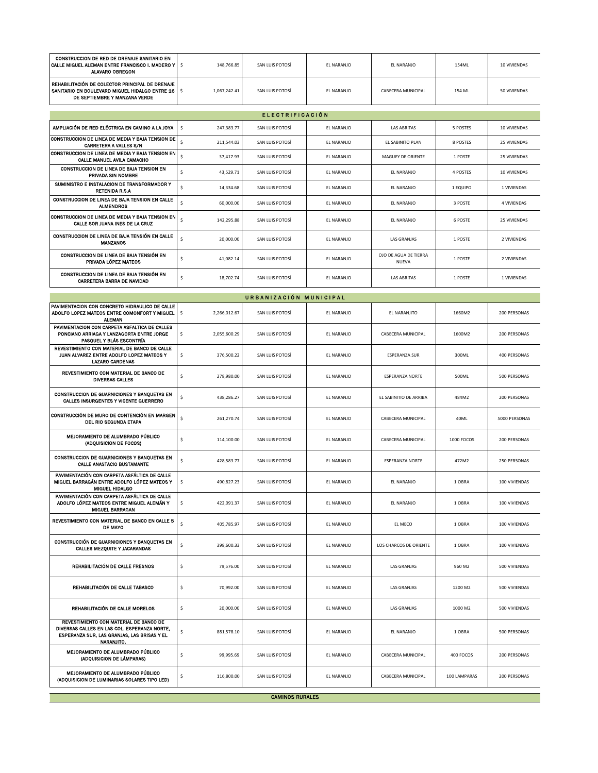| CONSTRUCCION DE RED DE DRENAJE SANITARIO EN<br>CALLE MIGUEL ALEMAN ENTRE FRANCISCO I. MADERO Y<br><b>ALAVARO OBREGON</b>                            | $\ddot{\phantom{1}}$<br>148,766.85      | SAN LUIS POTOSÍ | EL NARANJO | EL NARANJO                            | 154ML        | 10 VIVIENDAS  |  |  |  |
|-----------------------------------------------------------------------------------------------------------------------------------------------------|-----------------------------------------|-----------------|------------|---------------------------------------|--------------|---------------|--|--|--|
| REHABILITACIÓN DE COLECTOR PRINCIPAL DE DRENAJE<br>SANITARIO EN BOULEVARD MIGUEL HIDALGO ENTRE 16<br>DE SEPTIEMBRE Y MANZANA VERDE                  | $\mathsf{S}$<br>1,067,242.41            | SAN LUIS POTOSÍ | EL NARANJO | CABECERA MUNICIPAL                    | 154 ML       | 50 VIVIENDAS  |  |  |  |
| <b>ELECTRIFICACIÓN</b>                                                                                                                              |                                         |                 |            |                                       |              |               |  |  |  |
| AMPLIACIÓN DE RED ELÉCTRICA EN CAMINO A LA JOYA                                                                                                     | $\ddot{\phantom{1}}$<br>247,383.77      | SAN LUIS POTOSÍ | EL NARANJO | <b>LAS ABRITAS</b>                    | 5 POSTES     | 10 VIVIENDAS  |  |  |  |
| CONSTRUCCION DE LINEA DE MEDIA Y BAJA TENSION DE<br><b>CARRETERA A VALLES S/N</b>                                                                   | $\sf s$<br>211,544.03                   | SAN LUIS POTOSÍ | EL NARANJO | EL SABINITO PLAN                      | 8 POSTES     | 25 VIVIENDAS  |  |  |  |
| CONSTRUCCION DE LINEA DE MEDIA Y BAJA TENSION EN<br>CALLE MANUEL AVILA CAMACHO                                                                      | $\ddot{\varsigma}$<br>37,417.93         | SAN LUIS POTOSÍ | EL NARANJO | MAGUEY DE ORIENTE                     | 1 POSTE      | 25 VIVIENDAS  |  |  |  |
| CONSTRUCCION DE LINEA DE BAJA TENSION EN<br>PRIVADA SIN NOMBRE                                                                                      | \$<br>43,529.71                         | SAN LUIS POTOSÍ | EL NARANJO | EL NARANJO                            | 4 POSTES     | 10 VIVIENDAS  |  |  |  |
| SUMINISTRO E INSTALACION DE TRANSFORMADOR Y<br><b>RETENIDA R.S.A</b>                                                                                | \$<br>14,334.68                         | SAN LUIS POTOSÍ | EL NARANJO | EL NARANJO                            | 1 EQUIPO     | 1 VIVIENDAS   |  |  |  |
| CONSTRUCCION DE LINEA DE BAJA TENSION EN CALLE<br><b>ALMENDROS</b>                                                                                  | $\boldsymbol{\mathsf{S}}$<br>60,000.00  | SAN LUIS POTOSÍ | EL NARANJO | EL NARANJO                            | 3 POSTE      | 4 VIVIENDAS   |  |  |  |
| CONSTRUCCION DE LINEA DE MEDIA Y BAJA TENSION EN<br>CALLE SOR JUANA INES DE LA CRUZ                                                                 | \$<br>142,295.88                        | SAN LUIS POTOSÍ | EL NARANJO | EL NARANJO                            | 6 POSTE      | 25 VIVIENDAS  |  |  |  |
| CONSTRUCCION DE LINEA DE BAJA TENSIÓN EN CALLE<br><b>MANZANOS</b>                                                                                   | \$<br>20,000.00                         | SAN LUIS POTOSÍ | EL NARANJO | <b>LAS GRANJAS</b>                    | 1 POSTE      | 2 VIVIENDAS   |  |  |  |
| CONSTRUCCION DE LINEA DE BAJA TENSIÓN EN<br>PRIVADA LÓPEZ MATEOS                                                                                    | \$<br>41,082.14                         | SAN LUIS POTOSÍ | EL NARANJO | OJO DE AGUA DE TIERRA<br><b>NUEVA</b> | 1 POSTE      | 2 VIVIENDAS   |  |  |  |
| CONSTRUCCION DE LINEA DE BAJA TENSIÓN EN<br>CARRETERA BARRA DE NAVIDAD                                                                              | \$<br>18,702.74                         | SAN LUIS POTOSÍ | EL NARANJO | LAS ABRITAS                           | 1 POSTE      | 1 VIVIENDAS   |  |  |  |
|                                                                                                                                                     |                                         |                 |            |                                       |              |               |  |  |  |
| URBANIZACIÓN MUNICIPAL<br>PAVIMENTACION CON CONCRETO HIDRAULICO DE CALLE                                                                            |                                         |                 |            |                                       |              |               |  |  |  |
| ADOLFO LOPEZ MATEOS ENTRE COMONFORT Y MIGUEL<br><b>ALEMAN</b>                                                                                       | \$<br>2,266,012.67                      | SAN LUIS POTOSÍ | EL NARANJO | EL NARANJITO                          | 1660M2       | 200 PERSONAS  |  |  |  |
| PAVIMENTACION CON CARPETA ASFALTICA DE CALLES<br>PONCIANO ARRIAGA Y LANZAGORTA ENTRE JORGE<br>PASQUEL Y BLAS ESCONTRÍA                              | \$<br>2,055,600.29                      | SAN LUIS POTOSÍ | EL NARANJO | CABECERA MUNICIPAL                    | 1600M2       | 200 PERSONAS  |  |  |  |
| REVESTIMIENTO CON MATERIAL DE BANCO DE CALLE<br>JUAN ALVAREZ ENTRE ADOLFO LOPEZ MATEOS Y<br><b>LAZARO CARDENAS</b>                                  | \$<br>376,500.22                        | SAN LUIS POTOSÍ | EL NARANJO | ESPERANZA SUR                         | 300ML        | 400 PERSONAS  |  |  |  |
| REVESTIMIENTO CON MATERIAL DE BANCO DE<br><b>DIVERSAS CALLES</b>                                                                                    | \$<br>278,980.00                        | SAN LUIS POTOSÍ | EL NARANJO | <b>ESPERANZA NORTE</b>                | 500ML        | 500 PERSONAS  |  |  |  |
| CONSTRUCCION DE GUARNICIONES Y BANQUETAS EN<br>CALLES INSURGENTES Y VICENTE GUERRERO                                                                | \$<br>438,286.27                        | SAN LUIS POTOSÍ | EL NARANJO | EL SABINITIO DE ARRIBA                | 484M2        | 200 PERSONAS  |  |  |  |
| CONSTRUCCIÓN DE MURO DE CONTENCIÓN EN MARGEN<br>DEL RIO SEGUNDA ETAPA                                                                               | \$<br>261,270.74                        | SAN LUIS POTOSÍ | EL NARANJO | CABECERA MUNICIPAL                    | 40ML         | 5000 PERSONAS |  |  |  |
| MEJORAMIENTO DE ALUMBRADO PÚBLICO<br>(ADQUISICION DE FOCOS)                                                                                         | \$<br>114,100.00                        | SAN LUIS POTOSÍ | EL NARANJO | CABECERA MUNICIPAL                    | 1000 FOCOS   | 200 PERSONAS  |  |  |  |
| CONSTRUCCION DE GUARNICIONES Y BANQUETAS EN<br><b>CALLE ANASTACIO BUSTAMANTE</b>                                                                    | \$<br>428,583.77                        | SAN LUIS POTOSÍ | EL NARANJO | ESPERANZA NORTE                       | 472M2        | 250 PERSONAS  |  |  |  |
| PAVIMENTACIÓN CON CARPETA ASFÁLTICA DE CALLE<br>MIGUEL BARRAGÁN ENTRE ADOLFO LÓPEZ MATEOS Y<br><b>MIGUEL HIDALGO</b>                                | $\ddot{\phantom{1}}$<br>490,827.23      | SAN LUIS POTOSÍ | EL NARANJO | EL NARANJO                            | 1 OBRA       | 100 VIVIENDAS |  |  |  |
| PAVIMENTACIÓN CON CARPETA ASFÁLTICA DE CALLE<br>ADOLFO LÓPEZ MATEOS ENTRE MIGUEL ALEMÁN Y<br>MIGUEL BARRAGAN                                        | \$<br>422,091.37                        | SAN LUIS POTOSÍ | EL NARANJO | EL NARANJO                            | 1 OBRA       | 100 VIVIENDAS |  |  |  |
| REVESTIMIENTO CON MATERIAL DE BANCO EN CALLE 5<br>DE MAYO                                                                                           | $\boldsymbol{\mathsf{S}}$<br>405,785.97 | SAN LUIS POTOSÍ | EL NARANJO | EL MECO                               | 1 OBRA       | 100 VIVIENDAS |  |  |  |
| CONSTRUCCIÓN DE GUARNICIONES Y BANQUETAS EN<br>CALLES MEZQUITE Y JACARANDAS                                                                         | \$<br>398,600.33                        | SAN LUIS POTOSÍ | EL NARANJO | LOS CHARCOS DE ORIENTE                | 1 OBRA       | 100 VIVIENDAS |  |  |  |
| REHABILITACIÓN DE CALLE FRESNOS                                                                                                                     | \$<br>79,576.00                         | SAN LUIS POTOSÍ | EL NARANJO | <b>LAS GRANJAS</b>                    | 960 M2       | 500 VIVIENDAS |  |  |  |
| REHABILITACIÓN DE CALLE TABASCO                                                                                                                     | \$<br>70,992.00                         | SAN LUIS POTOSÍ | EL NARANJO | <b>LAS GRANJAS</b>                    | 1200 M2      | 500 VIVIENDAS |  |  |  |
| REHABILITACIÓN DE CALLE MORELOS                                                                                                                     | \$<br>20,000.00                         | SAN LUIS POTOSÍ | EL NARANJO | <b>LAS GRANJAS</b>                    | 1000 M2      | 500 VIVIENDAS |  |  |  |
| REVESTIMIENTO CON MATERIAL DE BANCO DE<br>DIVERSAS CALLES EN LAS COL. ESPERANZA NORTE,<br>ESPERANZA SUR, LAS GRANJAS, LAS BRISAS Y EL<br>NARANJITO. | \$<br>881,578.10                        | SAN LUIS POTOSÍ | EL NARANJO | EL NARANJO                            | 1 OBRA       | 500 PERSONAS  |  |  |  |
| MEJORAMIENTO DE ALUMBRADO PÚBLICO<br>(ADQUISICION DE LÁMPARAS)                                                                                      | \$<br>99,995.69                         | SAN LUIS POTOSÍ | EL NARANJO | CABECERA MUNICIPAL                    | 400 FOCOS    | 200 PERSONAS  |  |  |  |
| MEJORAMIENTO DE ALUMBRADO PÚBLICO<br>(ADQUISICION DE LUMINARIAS SOLARES TIPO LED)                                                                   | \$<br>116,800.00                        | SAN LUIS POTOSÍ | EL NARANJO | CABECERA MUNICIPAL                    | 100 LAMPARAS | 200 PERSONAS  |  |  |  |
| <b>CAMINOS RURALES</b>                                                                                                                              |                                         |                 |            |                                       |              |               |  |  |  |